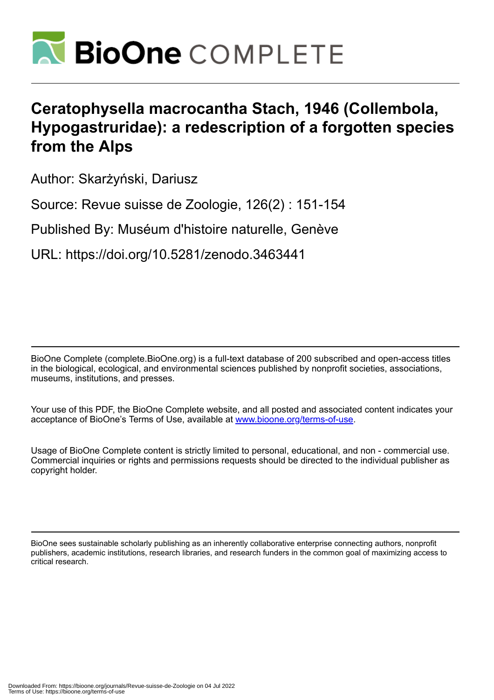

# **Ceratophysella macrocantha Stach, 1946 (Collembola, Hypogastruridae): a redescription of a forgotten species from the Alps**

Author: Skarżyński, Dariusz

Source: Revue suisse de Zoologie, 126(2) : 151-154

Published By: Muséum d'histoire naturelle, Genève

URL: https://doi.org/10.5281/zenodo.3463441

BioOne Complete (complete.BioOne.org) is a full-text database of 200 subscribed and open-access titles in the biological, ecological, and environmental sciences published by nonprofit societies, associations, museums, institutions, and presses.

Your use of this PDF, the BioOne Complete website, and all posted and associated content indicates your acceptance of BioOne's Terms of Use, available at www.bioone.org/terms-of-use.

Usage of BioOne Complete content is strictly limited to personal, educational, and non - commercial use. Commercial inquiries or rights and permissions requests should be directed to the individual publisher as copyright holder.

BioOne sees sustainable scholarly publishing as an inherently collaborative enterprise connecting authors, nonprofit publishers, academic institutions, research libraries, and research funders in the common goal of maximizing access to critical research.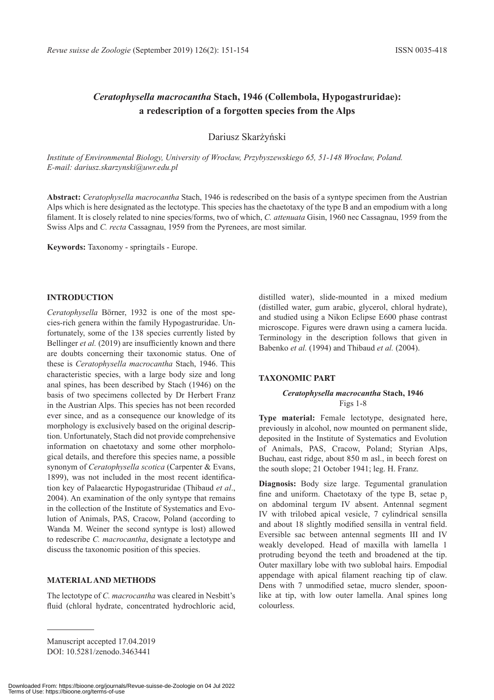## *Ceratophysella macrocantha* **Stach, 1946 (Collembola, Hypogastruridae): a redescription of a forgotten species from the Alps**

Dariusz Skarżyński

*Institute of Environmental Biology, University of Wrocław, Przybyszewskiego 65, 51-148 Wrocław, Poland. E-mail: dariusz.skarzynski@uwr.edu.pl*

**Abstract:** *Ceratophysella macrocantha* Stach, 1946 is redescribed on the basis of a syntype specimen from the Austrian Alps which is here designated as the lectotype. This species has the chaetotaxy of the type B and an empodium with a long filament. It is closely related to nine species/forms, two of which, *C. attenuata* Gisin, 1960 nec Cassagnau, 1959 from the Swiss Alps and *C. recta* Cassagnau, 1959 from the Pyrenees, are most similar.

**Keywords:** Taxonomy - springtails - Europe.

### **INTRODUCTION**

*Ceratophysella* Börner, 1932 is one of the most species-rich genera within the family Hypogastruridae. Unfortunately, some of the 138 species currently listed by Bellinger *et al.* (2019) are insufficiently known and there are doubts concerning their taxonomic status. One of these is *Ceratophysella macrocantha* Stach, 1946. This characteristic species, with a large body size and long anal spines, has been described by Stach (1946) on the basis of two specimens collected by Dr Herbert Franz in the Austrian Alps. This species has not been recorded ever since, and as a consequence our knowledge of its morphology is exclusively based on the original description. Unfortunately, Stach did not provide comprehensive information on chaetotaxy and some other morphological details, and therefore this species name, a possible synonym of *Ceratophysella scotica* (Carpenter & Evans, 1899), was not included in the most recent identification key of Palaearctic Hypogastruridae (Thibaud *et al*., 2004). An examination of the only syntype that remains in the collection of the Institute of Systematics and Evolution of Animals, PAS, Cracow, Poland (according to Wanda M. Weiner the second syntype is lost) allowed to redescribe *C. macrocantha*, designate a lectotype and discuss the taxonomic position of this species.

#### **MATERIAL AND METHODS**

The lectotype of *C. macrocantha* was cleared in Nesbitt's fluid (chloral hydrate, concentrated hydrochloric acid,

distilled water), slide-mounted in a mixed medium (distilled water, gum arabic, glycerol, chloral hydrate), and studied using a Nikon Eclipse E600 phase contrast microscope. Figures were drawn using a camera lucida. Terminology in the description follows that given in Babenko *et al.* (1994) and Thibaud *et al.* (2004).

#### **TAXONOMIC PART**

#### *Ceratophysella macrocantha* **Stach, 1946** Figs 1-8

**Type material:** Female lectotype, designated here, previously in alcohol, now mounted on permanent slide, deposited in the Institute of Systematics and Evolution of Animals, PAS, Cracow, Poland; Styrian Alps, Buchau, east ridge, about 850 m asl., in beech forest on the south slope; 21 October 1941; leg. H. Franz.

**Diagnosis:** Body size large. Tegumental granulation fine and uniform. Chaetotaxy of the type  $B$ , setae p, on abdominal tergum IV absent. Antennal segment IV with trilobed apical vesicle, 7 cylindrical sensilla and about 18 slightly modified sensilla in ventral field. Eversible sac between antennal segments III and IV weakly developed. Head of maxilla with lamella 1 protruding beyond the teeth and broadened at the tip. Outer maxillary lobe with two sublobal hairs. Empodial appendage with apical filament reaching tip of claw. Dens with 7 unmodified setae, mucro slender, spoonlike at tip, with low outer lamella. Anal spines long colourless.

Manuscript accepted 17.04.2019 DOI: 10.5281/zenodo.3463441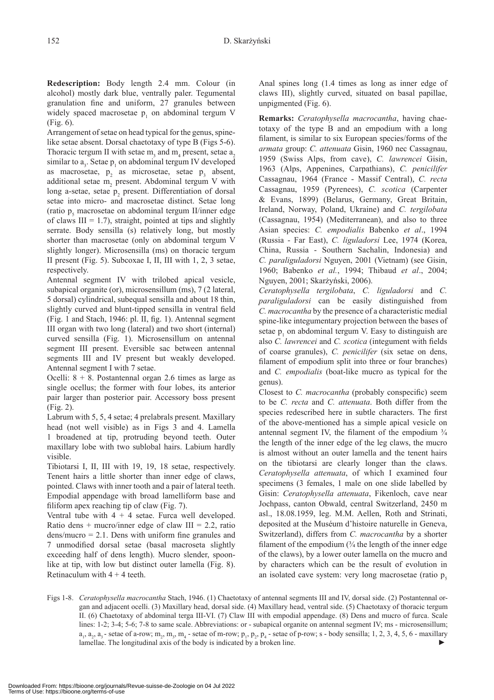**Redescription:** Body length 2.4 mm. Colour (in alcohol) mostly dark blue, ventrally paler. Tegumental granulation fine and uniform, 27 granules between widely spaced macrosetae  $p_1$  on abdominal tergum V (Fig. 6).

Arrangement of setae on head typical for the genus, spinelike setae absent. Dorsal chaetotaxy of type B (Figs 5-6). Thoracic tergum II with setae  $m_3$  and  $m_4$  present, setae  $a_2$ similar to  $a_3$ . Setae  $p_1$  on abdominal tergum IV developed as macrosetae,  $p_2$  as microsetae, setae  $p_3$  absent, additional setae  $m_2$  present. Abdominal tergum V with long a-setae, setae  $p_2$  present. Differentiation of dorsal setae into micro- and macrosetae distinct. Setae long (ratio  $p_s$  macrosetae on abdominal tergum II/inner edge of claws  $III = 1.7$ ), straight, pointed at tips and slightly serrate. Body sensilla (s) relatively long, but mostly shorter than macrosetae (only on abdominal tergum V slightly longer). Microsensilla (ms) on thoracic tergum II present (Fig. 5). Subcoxae I, II, III with 1, 2, 3 setae, respectively.

Antennal segment IV with trilobed apical vesicle, subapical organite (or), microsensillum (ms), 7 (2 lateral, 5 dorsal) cylindrical, subequal sensilla and about 18 thin, slightly curved and blunt-tipped sensilla in ventral field (Fig. 1 and Stach, 1946: pl. II, fig. 1). Antennal segment III organ with two long (lateral) and two short (internal) curved sensilla (Fig. 1). Microsensillum on antennal segment III present. Eversible sac between antennal segments III and IV present but weakly developed. Antennal segment I with 7 setae.

Ocelli:  $8 + 8$ . Postantennal organ 2.6 times as large as single ocellus; the former with four lobes, its anterior pair larger than posterior pair. Accessory boss present (Fig. 2).

Labrum with 5, 5, 4 setae; 4 prelabrals present. Maxillary head (not well visible) as in Figs 3 and 4. Lamella 1 broadened at tip, protruding beyond teeth. Outer maxillary lobe with two sublobal hairs. Labium hardly visible.

Tibiotarsi I, II, III with 19, 19, 18 setae, respectively. Tenent hairs a little shorter than inner edge of claws, pointed. Claws with inner tooth and a pair of lateral teeth. Empodial appendage with broad lamelliform base and filiform apex reaching tip of claw  $(Fig. 7)$ .

Ventral tube with  $4 + 4$  setae. Furca well developed. Ratio dens + mucro/inner edge of claw III = 2.2, ratio  $dens/mu$ cro = 2.1. Dens with uniform fine granules and 7 unmodified dorsal setae (basal macroseta slightly exceeding half of dens length). Mucro slender, spoonlike at tip, with low but distinct outer lamella (Fig. 8). Retinaculum with  $4 + 4$  teeth.

Anal spines long (1.4 times as long as inner edge of claws III), slightly curved, situated on basal papillae, unpigmented (Fig. 6).

**Remarks:** *Ceratophysella macrocantha*, having chaetotaxy of the type B and an empodium with a long filament, is similar to six European species/forms of the *armata* group: *C. attenuata* Gisin, 1960 nec Cassagnau, 1959 (Swiss Alps, from cave), *C. lawrencei* Gisin, 1963 (Alps, Appenines, Carpathians), *C. penicilifer* Cassagnau, 1964 (France - Massif Central), *C. recta* Cassagnau, 1959 (Pyrenees), *C. scotica* (Carpenter & Evans, 1899) (Belarus, Germany, Great Britain, Ireland, Norway, Poland, Ukraine) and *C. tergilobata* (Cassagnau, 1954) (Mediterranean), and also to three Asian species: *C. empodialis* Babenko *et al*., 1994 (Russia - Far East), *C. liguladorsi* Lee, 1974 (Korea, China, Russia - Southern Sachalin, Indonesia) and *C. paraliguladorsi* Nguyen, 2001 (Vietnam) (see Gisin, 1960; Babenko *et al.*, 1994; Thibaud *et al*., 2004; Nguyen, 2001; Skarżyński, 2006).

*Ceratophysella tergilobata*, *C. liguladorsi* and *C. paraliguladorsi* can be easily distinguished from *C. macrocantha* by the presence of a characteristic medial spine-like integumentary projection between the bases of setae  $p_1$  on abdominal tergum V. Easy to distinguish are also *C. lawrencei* and *C. scotica* (integument with fields of coarse granules), *C. penicilifer* (six setae on dens, filament of empodium split into three or four branches) and *C. empodialis* (boat-like mucro as typical for the genus).

Closest to *C. macrocantha* (probably conspecific) seem to be *C. recta* and *C. attenuata*. Both differ from the species redescribed here in subtle characters. The first of the above-mentioned has a simple apical vesicle on antennal segment IV, the filament of the empodium  $\frac{3}{4}$ the length of the inner edge of the leg claws, the mucro is almost without an outer lamella and the tenent hairs on the tibiotarsi are clearly longer than the claws. *Ceratophysella attenuata*, of which I examined four specimens (3 females, 1 male on one slide labelled by Gisin: *Ceratophysella attenuata*, Fikenloch, cave near Jochpass, canton Obwald, central Switzerland, 2450 m asl., 18.08.1959, leg. M.M. Aellen, Roth and Strinati, deposited at the Muséum d'histoire naturelle in Geneva, Switzerland), differs from *C. macrocantha* by a shorter filament of the empodium  $\frac{3}{4}$  the length of the inner edge of the claws), by a lower outer lamella on the mucro and by characters which can be the result of evolution in an isolated cave system: very long macrosetae (ratio  $p<sub>s</sub>$ )

Figs 1-8. *Ceratophysella macrocantha* Stach, 1946. (1) Chaetotaxy of antennal segments III and IV, dorsal side. (2) Postantennal organ and adjacent ocelli. (3) Maxillary head, dorsal side. (4) Maxillary head, ventral side. (5) Chaetotaxy of thoracic tergum II. (6) Chaetotaxy of abdominal terga III-VI. (7) Claw III with empodial appendage. (8) Dens and mucro of furca. Scale lines: 1-2; 3-4; 5-6; 7-8 to same scale. Abbreviations: or - subapical organite on antennal segment IV; ms - microsensillum;  $a_1, a_2, a_3$  - setae of a-row;  $m_2, m_3, m_4$  - setae of m-row;  $p_1, p_2, p_4$  - setae of p-row; s - body sensilla; 1, 2, 3, 4, 5, 6 - maxillary lamellae. The longitudinal axis of the body is indicated by a broken line.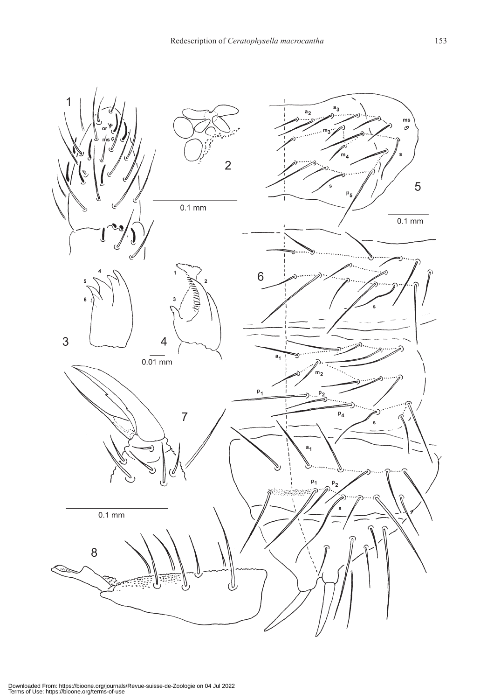